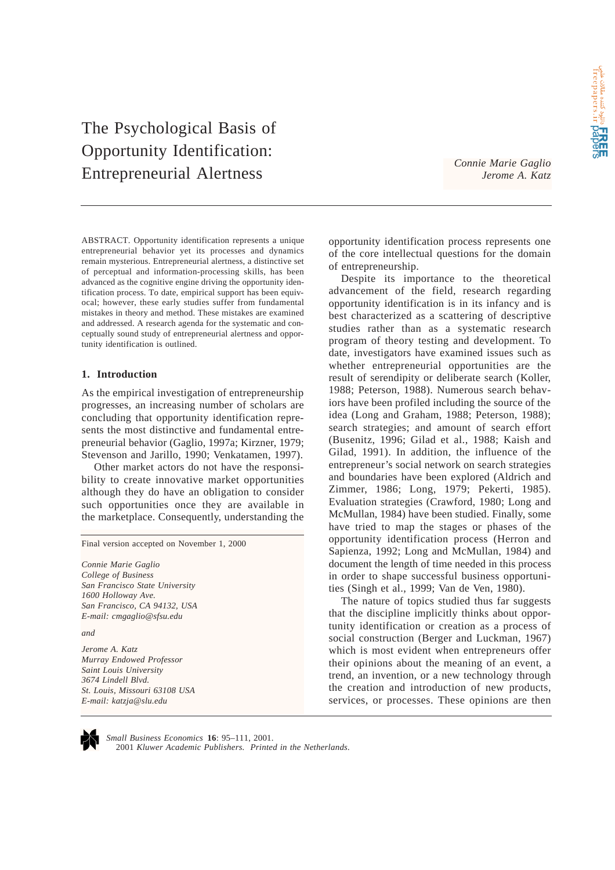# The Psychological Basis of Opportunity Identification: Entrepreneurial Alertness

*Connie Marie Gaglio Jerome A. Katz* 

ABSTRACT. Opportunity identification represents a unique entrepreneurial behavior yet its processes and dynamics remain mysterious. Entrepreneurial alertness, a distinctive set of perceptual and information-processing skills, has been advanced as the cognitive engine driving the opportunity identification process. To date, empirical support has been equivocal; however, these early studies suffer from fundamental mistakes in theory and method. These mistakes are examined and addressed. A research agenda for the systematic and conceptually sound study of entrepreneurial alertness and opportunity identification is outlined.

## **1. Introduction**

As the empirical investigation of entrepreneurship progresses, an increasing number of scholars are concluding that opportunity identification represents the most distinctive and fundamental entrepreneurial behavior (Gaglio, 1997a; Kirzner, 1979; Stevenson and Jarillo, 1990; Venkatamen, 1997).

Other market actors do not have the responsibility to create innovative market opportunities although they do have an obligation to consider such opportunities once they are available in the marketplace. Consequently, understanding the

Final version accepted on November 1, 2000

*Connie Marie Gaglio College of Business San Francisco State University 1600 Holloway Ave. San Francisco, CA 94132, USA E-mail: cmgaglio@sfsu.edu*

*and*

*Jerome A. Katz Murray Endowed Professor Saint Louis University 3674 Lindell Blvd. St. Louis, Missouri 63108 USA E-mail: katzja@slu.edu*

opportunity identification process represents one of the core intellectual questions for the domain of entrepreneurship.

Despite its importance to the theoretical advancement of the field, research regarding opportunity identification is in its infancy and is best characterized as a scattering of descriptive studies rather than as a systematic research program of theory testing and development. To date, investigators have examined issues such as whether entrepreneurial opportunities are the result of serendipity or deliberate search (Koller, 1988; Peterson, 1988). Numerous search behaviors have been profiled including the source of the idea (Long and Graham, 1988; Peterson, 1988); search strategies; and amount of search effort (Busenitz, 1996; Gilad et al., 1988; Kaish and Gilad, 1991). In addition, the influence of the entrepreneur's social network on search strategies and boundaries have been explored (Aldrich and Zimmer, 1986; Long, 1979; Pekerti, 1985). Evaluation strategies (Crawford, 1980; Long and McMullan, 1984) have been studied. Finally, some have tried to map the stages or phases of the opportunity identification process (Herron and Sapienza, 1992; Long and McMullan, 1984) and document the length of time needed in this process in order to shape successful business opportunities (Singh et al., 1999; Van de Ven, 1980).

The nature of topics studied thus far suggests that the discipline implicitly thinks about opportunity identification or creation as a process of social construction (Berger and Luckman, 1967) which is most evident when entrepreneurs offer their opinions about the meaning of an event, a trend, an invention, or a new technology through the creation and introduction of new products, services, or processes. These opinions are then



*Small Business Economics* **16**: 95–111, 2001.

2001 *Kluwer Academic Publishers. Printed in the Netherlands.*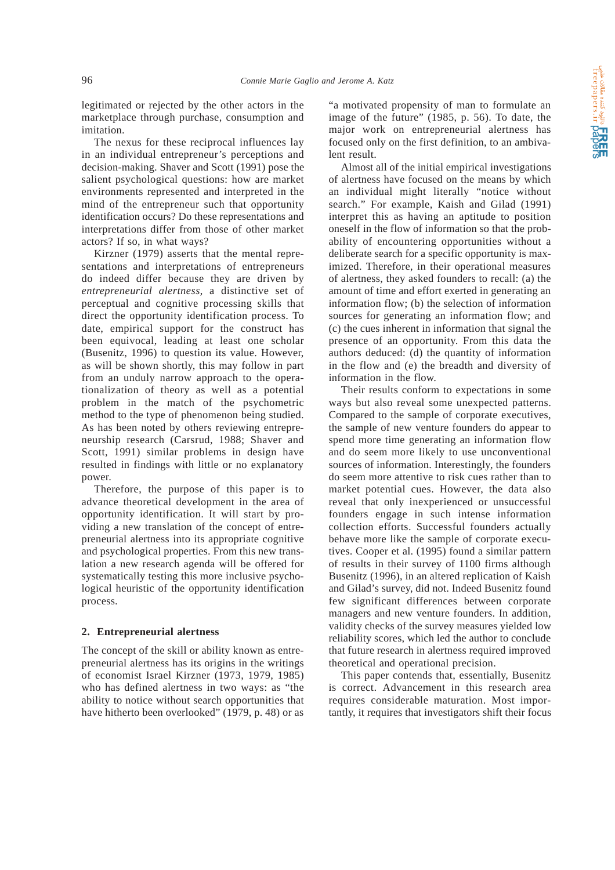legitimated or rejected by the other actors in the marketplace through purchase, consumption and imitation.

The nexus for these reciprocal influences lay in an individual entrepreneur's perceptions and decision-making. Shaver and Scott (1991) pose the salient psychological questions: how are market environments represented and interpreted in the mind of the entrepreneur such that opportunity identification occurs? Do these representations and interpretations differ from those of other market actors? If so, in what ways?

Kirzner (1979) asserts that the mental representations and interpretations of entrepreneurs do indeed differ because they are driven by *entrepreneurial alertness*, a distinctive set of perceptual and cognitive processing skills that direct the opportunity identification process. To date, empirical support for the construct has been equivocal, leading at least one scholar (Busenitz, 1996) to question its value. However, as will be shown shortly, this may follow in part from an unduly narrow approach to the operationalization of theory as well as a potential problem in the match of the psychometric method to the type of phenomenon being studied. As has been noted by others reviewing entrepreneurship research (Carsrud, 1988; Shaver and Scott, 1991) similar problems in design have resulted in findings with little or no explanatory power.

Therefore, the purpose of this paper is to advance theoretical development in the area of opportunity identification. It will start by providing a new translation of the concept of entrepreneurial alertness into its appropriate cognitive and psychological properties. From this new translation a new research agenda will be offered for systematically testing this more inclusive psychological heuristic of the opportunity identification process.

# **2. Entrepreneurial alertness**

The concept of the skill or ability known as entrepreneurial alertness has its origins in the writings of economist Israel Kirzner (1973, 1979, 1985) who has defined alertness in two ways: as "the ability to notice without search opportunities that have hitherto been overlooked" (1979, p. 48) or as

"a motivated propensity of man to formulate an image of the future" (1985, p. 56). To date, the major work on entrepreneurial alertness has focused only on the first definition, to an ambivalent result.

Almost all of the initial empirical investigations of alertness have focused on the means by which an individual might literally "notice without search." For example, Kaish and Gilad (1991) interpret this as having an aptitude to position oneself in the flow of information so that the probability of encountering opportunities without a deliberate search for a specific opportunity is maximized. Therefore, in their operational measures of alertness, they asked founders to recall: (a) the amount of time and effort exerted in generating an information flow; (b) the selection of information sources for generating an information flow; and (c) the cues inherent in information that signal the presence of an opportunity. From this data the authors deduced: (d) the quantity of information in the flow and (e) the breadth and diversity of information in the flow.

Their results conform to expectations in some ways but also reveal some unexpected patterns. Compared to the sample of corporate executives, the sample of new venture founders do appear to spend more time generating an information flow and do seem more likely to use unconventional sources of information. Interestingly, the founders do seem more attentive to risk cues rather than to market potential cues. However, the data also reveal that only inexperienced or unsuccessful founders engage in such intense information collection efforts. Successful founders actually behave more like the sample of corporate executives. Cooper et al. (1995) found a similar pattern of results in their survey of 1100 firms although Busenitz (1996), in an altered replication of Kaish and Gilad's survey, did not. Indeed Busenitz found few significant differences between corporate managers and new venture founders. In addition, validity checks of the survey measures yielded low reliability scores, which led the author to conclude that future research in alertness required improved theoretical and operational precision.

This paper contends that, essentially, Busenitz is correct. Advancement in this research area requires considerable maturation. Most importantly, it requires that investigators shift their focus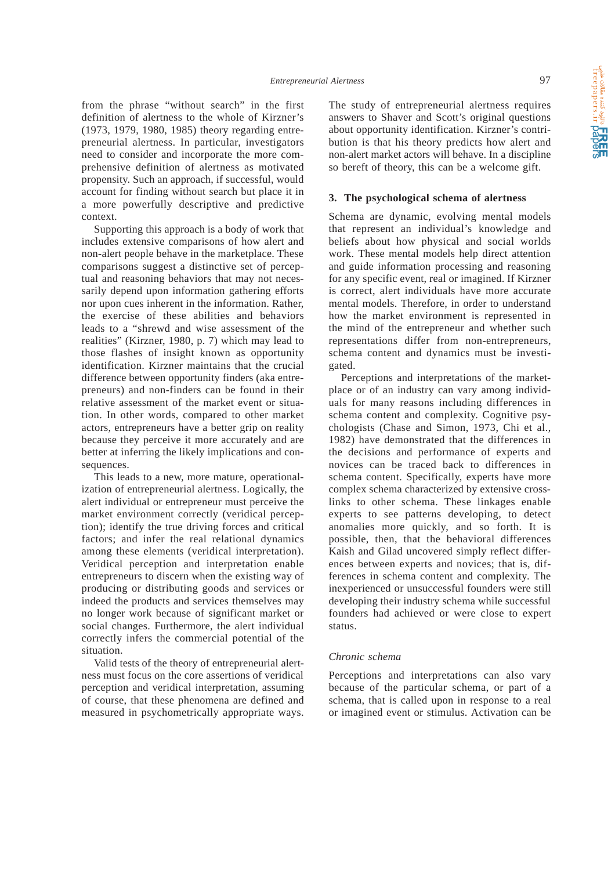from the phrase "without search" in the first definition of alertness to the whole of Kirzner's (1973, 1979, 1980, 1985) theory regarding entrepreneurial alertness. In particular, investigators need to consider and incorporate the more comprehensive definition of alertness as motivated propensity. Such an approach, if successful, would account for finding without search but place it in a more powerfully descriptive and predictive context.

Supporting this approach is a body of work that includes extensive comparisons of how alert and non-alert people behave in the marketplace. These comparisons suggest a distinctive set of perceptual and reasoning behaviors that may not necessarily depend upon information gathering efforts nor upon cues inherent in the information. Rather, the exercise of these abilities and behaviors leads to a "shrewd and wise assessment of the realities" (Kirzner, 1980, p. 7) which may lead to those flashes of insight known as opportunity identification. Kirzner maintains that the crucial difference between opportunity finders (aka entrepreneurs) and non-finders can be found in their relative assessment of the market event or situation. In other words, compared to other market actors, entrepreneurs have a better grip on reality because they perceive it more accurately and are better at inferring the likely implications and consequences.

This leads to a new, more mature, operationalization of entrepreneurial alertness. Logically, the alert individual or entrepreneur must perceive the market environment correctly (veridical perception); identify the true driving forces and critical factors; and infer the real relational dynamics among these elements (veridical interpretation). Veridical perception and interpretation enable entrepreneurs to discern when the existing way of producing or distributing goods and services or indeed the products and services themselves may no longer work because of significant market or social changes. Furthermore, the alert individual correctly infers the commercial potential of the situation.

Valid tests of the theory of entrepreneurial alertness must focus on the core assertions of veridical perception and veridical interpretation, assuming of course, that these phenomena are defined and measured in psychometrically appropriate ways.

The study of entrepreneurial alertness requires answers to Shaver and Scott's original questions about opportunity identification. Kirzner's contribution is that his theory predicts how alert and non-alert market actors will behave. In a discipline so bereft of theory, this can be a welcome gift.

## **3. The psychological schema of alertness**

Schema are dynamic, evolving mental models that represent an individual's knowledge and beliefs about how physical and social worlds work. These mental models help direct attention and guide information processing and reasoning for any specific event, real or imagined. If Kirzner is correct, alert individuals have more accurate mental models. Therefore, in order to understand how the market environment is represented in the mind of the entrepreneur and whether such representations differ from non-entrepreneurs, schema content and dynamics must be investigated.

Perceptions and interpretations of the marketplace or of an industry can vary among individuals for many reasons including differences in schema content and complexity. Cognitive psychologists (Chase and Simon, 1973, Chi et al., 1982) have demonstrated that the differences in the decisions and performance of experts and novices can be traced back to differences in schema content. Specifically, experts have more complex schema characterized by extensive crosslinks to other schema. These linkages enable experts to see patterns developing, to detect anomalies more quickly, and so forth. It is possible, then, that the behavioral differences Kaish and Gilad uncovered simply reflect differences between experts and novices; that is, differences in schema content and complexity. The inexperienced or unsuccessful founders were still developing their industry schema while successful founders had achieved or were close to expert status.

# *Chronic schema*

Perceptions and interpretations can also vary because of the particular schema, or part of a schema, that is called upon in response to a real or imagined event or stimulus. Activation can be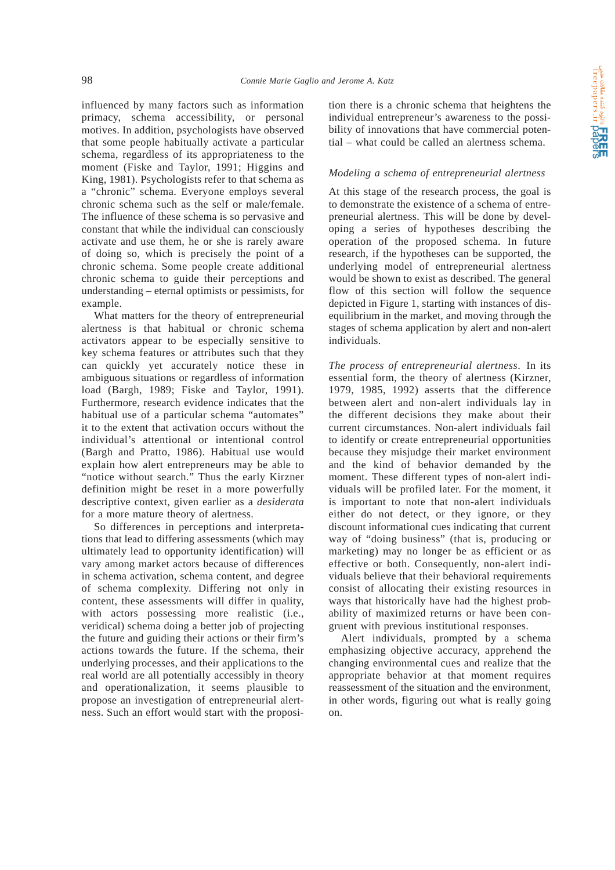influenced by many factors such as information primacy, schema accessibility, or personal motives. In addition, psychologists have observed that some people habitually activate a particular schema, regardless of its appropriateness to the moment (Fiske and Taylor, 1991; Higgins and King, 1981). Psychologists refer to that schema as a "chronic" schema. Everyone employs several chronic schema such as the self or male/female. The influence of these schema is so pervasive and constant that while the individual can consciously activate and use them, he or she is rarely aware of doing so, which is precisely the point of a chronic schema. Some people create additional chronic schema to guide their perceptions and understanding – eternal optimists or pessimists, for example.

What matters for the theory of entrepreneurial alertness is that habitual or chronic schema activators appear to be especially sensitive to key schema features or attributes such that they can quickly yet accurately notice these in ambiguous situations or regardless of information load (Bargh, 1989; Fiske and Taylor, 1991). Furthermore, research evidence indicates that the habitual use of a particular schema "automates" it to the extent that activation occurs without the individual's attentional or intentional control (Bargh and Pratto, 1986). Habitual use would explain how alert entrepreneurs may be able to "notice without search." Thus the early Kirzner definition might be reset in a more powerfully descriptive context, given earlier as a *desiderata* for a more mature theory of alertness.

So differences in perceptions and interpretations that lead to differing assessments (which may ultimately lead to opportunity identification) will vary among market actors because of differences in schema activation, schema content, and degree of schema complexity. Differing not only in content, these assessments will differ in quality, with actors possessing more realistic (i.e., veridical) schema doing a better job of projecting the future and guiding their actions or their firm's actions towards the future. If the schema, their underlying processes, and their applications to the real world are all potentially accessibly in theory and operationalization, it seems plausible to propose an investigation of entrepreneurial alertness. Such an effort would start with the proposition there is a chronic schema that heightens the individual entrepreneur's awareness to the possibility of innovations that have commercial potential – what could be called an alertness schema.

### *Modeling a schema of entrepreneurial alertness*

At this stage of the research process, the goal is to demonstrate the existence of a schema of entrepreneurial alertness. This will be done by developing a series of hypotheses describing the operation of the proposed schema. In future research, if the hypotheses can be supported, the underlying model of entrepreneurial alertness would be shown to exist as described. The general flow of this section will follow the sequence depicted in Figure 1, starting with instances of disequilibrium in the market, and moving through the stages of schema application by alert and non-alert individuals.

*The process of entrepreneurial alertness*. In its essential form, the theory of alertness (Kirzner, 1979, 1985, 1992) asserts that the difference between alert and non-alert individuals lay in the different decisions they make about their current circumstances. Non-alert individuals fail to identify or create entrepreneurial opportunities because they misjudge their market environment and the kind of behavior demanded by the moment. These different types of non-alert individuals will be profiled later. For the moment, it is important to note that non-alert individuals either do not detect, or they ignore, or they discount informational cues indicating that current way of "doing business" (that is, producing or marketing) may no longer be as efficient or as effective or both. Consequently, non-alert individuals believe that their behavioral requirements consist of allocating their existing resources in ways that historically have had the highest probability of maximized returns or have been congruent with previous institutional responses.

Alert individuals, prompted by a schema emphasizing objective accuracy, apprehend the changing environmental cues and realize that the appropriate behavior at that moment requires reassessment of the situation and the environment, in other words, figuring out what is really going on.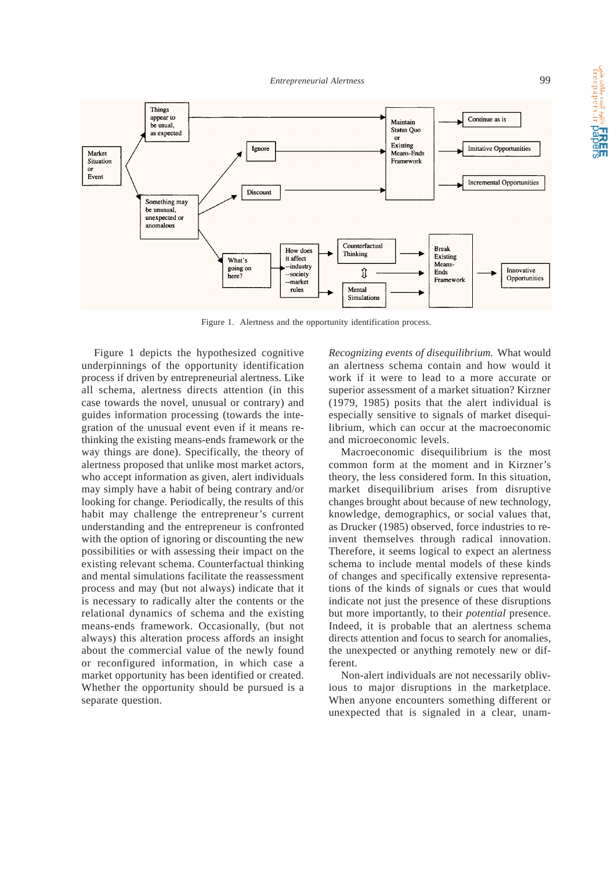

Figure 1. Alertness and the opportunity identification process.

Figure 1 depicts the hypothesized cognitive underpinnings of the opportunity identification process if driven by entrepreneurial alertness. Like all schema, alertness directs attention (in this case towards the novel, unusual or contrary) and guides information processing (towards the integration of the unusual event even if it means rethinking the existing means-ends framework or the way things are done). Specifically, the theory of alertness proposed that unlike most market actors, who accept information as given, alert individuals may simply have a habit of being contrary and/or looking for change. Periodically, the results of this habit may challenge the entrepreneur's current understanding and the entrepreneur is confronted with the option of ignoring or discounting the new possibilities or with assessing their impact on the existing relevant schema. Counterfactual thinking and mental simulations facilitate the reassessment process and may (but not always) indicate that it is necessary to radically alter the contents or the relational dynamics of schema and the existing means-ends framework. Occasionally, (but not always) this alteration process affords an insight about the commercial value of the newly found or reconfigured information, in which case a market opportunity has been identified or created. Whether the opportunity should be pursued is a separate question.

*Recognizing events of disequilibrium*. What would an alertness schema contain and how would it work if it were to lead to a more accurate or superior assessment of a market situation? Kirzner (1979, 1985) posits that the alert individual is especially sensitive to signals of market disequilibrium, which can occur at the macroeconomic and microeconomic levels.

Macroeconomic disequilibrium is the most common form at the moment and in Kirzner's theory, the less considered form. In this situation, market disequilibrium arises from disruptive changes brought about because of new technology, knowledge, demographics, or social values that, as Drucker (1985) observed, force industries to reinvent themselves through radical innovation. Therefore, it seems logical to expect an alertness schema to include mental models of these kinds of changes and specifically extensive representations of the kinds of signals or cues that would indicate not just the presence of these disruptions but more importantly, to their *potential* presence. Indeed, it is probable that an alertness schema directs attention and focus to search for anomalies, the unexpected or anything remotely new or different.

Non-alert individuals are not necessarily oblivious to major disruptions in the marketplace. When anyone encounters something different or unexpected that is signaled in a clear, unam**ا REE**<br>freepapers.ir paper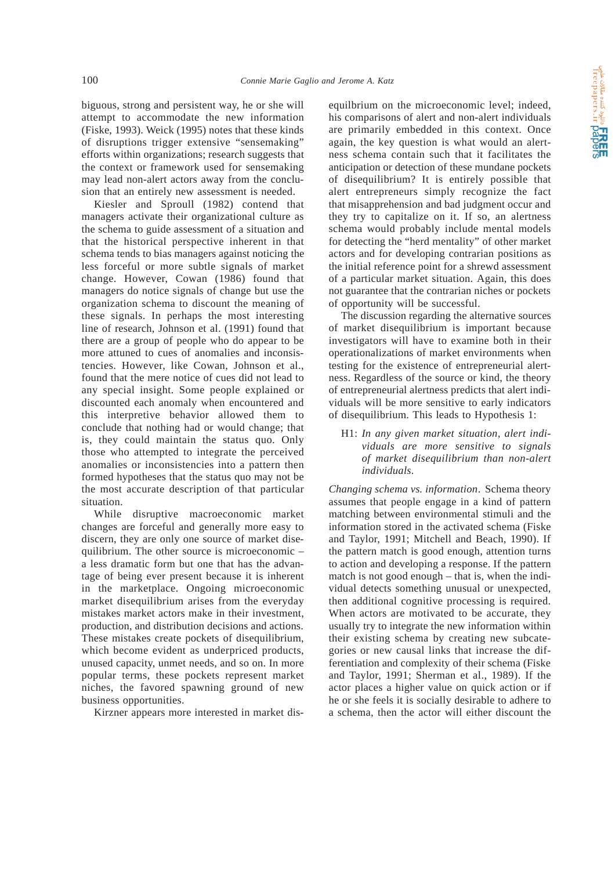biguous, strong and persistent way, he or she will attempt to accommodate the new information (Fiske, 1993). Weick (1995) notes that these kinds of disruptions trigger extensive "sensemaking" efforts within organizations; research suggests that the context or framework used for sensemaking may lead non-alert actors away from the conclusion that an entirely new assessment is needed.

Kiesler and Sproull (1982) contend that managers activate their organizational culture as the schema to guide assessment of a situation and that the historical perspective inherent in that schema tends to bias managers against noticing the less forceful or more subtle signals of market change. However, Cowan (1986) found that managers do notice signals of change but use the organization schema to discount the meaning of these signals. In perhaps the most interesting line of research, Johnson et al. (1991) found that there are a group of people who do appear to be more attuned to cues of anomalies and inconsistencies. However, like Cowan, Johnson et al., found that the mere notice of cues did not lead to any special insight. Some people explained or discounted each anomaly when encountered and this interpretive behavior allowed them to conclude that nothing had or would change; that is, they could maintain the status quo. Only those who attempted to integrate the perceived anomalies or inconsistencies into a pattern then formed hypotheses that the status quo may not be the most accurate description of that particular situation.

While disruptive macroeconomic market changes are forceful and generally more easy to discern, they are only one source of market disequilibrium. The other source is microeconomic – a less dramatic form but one that has the advantage of being ever present because it is inherent in the marketplace. Ongoing microeconomic market disequilibrium arises from the everyday mistakes market actors make in their investment, production, and distribution decisions and actions. These mistakes create pockets of disequilibrium, which become evident as underpriced products, unused capacity, unmet needs, and so on. In more popular terms, these pockets represent market niches, the favored spawning ground of new business opportunities.

Kirzner appears more interested in market dis-

equilbrium on the microeconomic level; indeed, his comparisons of alert and non-alert individuals are primarily embedded in this context. Once again, the key question is what would an alertness schema contain such that it facilitates the anticipation or detection of these mundane pockets of disequilibrium? It is entirely possible that alert entrepreneurs simply recognize the fact that misapprehension and bad judgment occur and they try to capitalize on it. If so, an alertness schema would probably include mental models for detecting the "herd mentality" of other market actors and for developing contrarian positions as the initial reference point for a shrewd assessment of a particular market situation. Again, this does not guarantee that the contrarian niches or pockets of opportunity will be successful.

The discussion regarding the alternative sources of market disequilibrium is important because investigators will have to examine both in their operationalizations of market environments when testing for the existence of entrepreneurial alertness. Regardless of the source or kind, the theory of entrepreneurial alertness predicts that alert individuals will be more sensitive to early indicators of disequilibrium. This leads to Hypothesis 1:

H1: *In any given market situation, alert individuals are more sensitive to signals of market disequilibrium than non-alert individuals*.

*Changing schema vs. information*. Schema theory assumes that people engage in a kind of pattern matching between environmental stimuli and the information stored in the activated schema (Fiske and Taylor, 1991; Mitchell and Beach, 1990). If the pattern match is good enough, attention turns to action and developing a response. If the pattern match is not good enough – that is, when the individual detects something unusual or unexpected, then additional cognitive processing is required. When actors are motivated to be accurate, they usually try to integrate the new information within their existing schema by creating new subcategories or new causal links that increase the differentiation and complexity of their schema (Fiske and Taylor, 1991; Sherman et al., 1989). If the actor places a higher value on quick action or if he or she feels it is socially desirable to adhere to a schema, then the actor will either discount the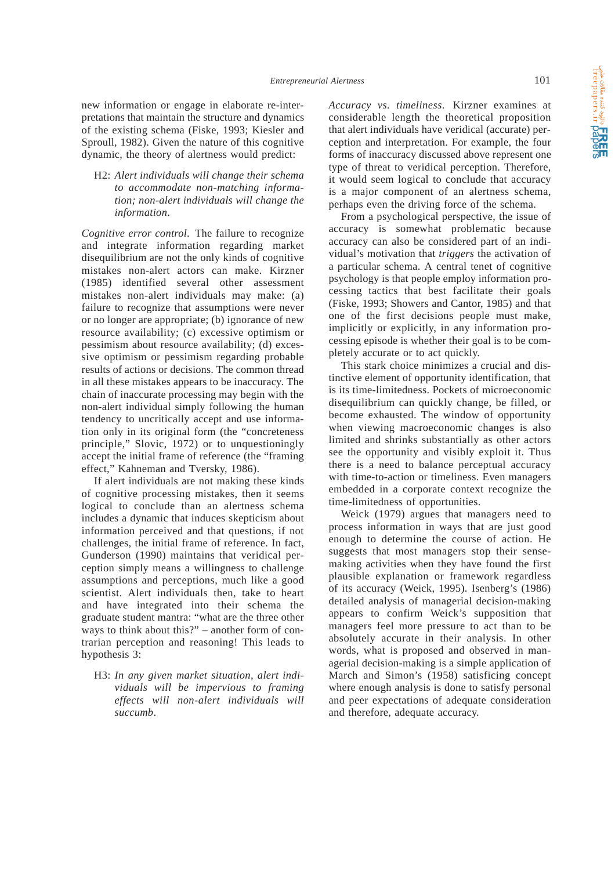new information or engage in elaborate re-interpretations that maintain the structure and dynamics of the existing schema (Fiske, 1993; Kiesler and Sproull, 1982). Given the nature of this cognitive dynamic, the theory of alertness would predict:

H2: *Alert individuals will change their schema to accommodate non-matching information; non-alert individuals will change the information*.

*Cognitive error control*. The failure to recognize and integrate information regarding market disequilibrium are not the only kinds of cognitive mistakes non-alert actors can make. Kirzner (1985) identified several other assessment mistakes non-alert individuals may make: (a) failure to recognize that assumptions were never or no longer are appropriate; (b) ignorance of new resource availability; (c) excessive optimism or pessimism about resource availability; (d) excessive optimism or pessimism regarding probable results of actions or decisions. The common thread in all these mistakes appears to be inaccuracy. The chain of inaccurate processing may begin with the non-alert individual simply following the human tendency to uncritically accept and use information only in its original form (the "concreteness principle," Slovic, 1972) or to unquestioningly accept the initial frame of reference (the "framing effect," Kahneman and Tversky, 1986).

If alert individuals are not making these kinds of cognitive processing mistakes, then it seems logical to conclude than an alertness schema includes a dynamic that induces skepticism about information perceived and that questions, if not challenges, the initial frame of reference. In fact, Gunderson (1990) maintains that veridical perception simply means a willingness to challenge assumptions and perceptions, much like a good scientist. Alert individuals then, take to heart and have integrated into their schema the graduate student mantra: "what are the three other ways to think about this?" – another form of contrarian perception and reasoning! This leads to hypothesis 3:

H3: *In any given market situation, alert individuals will be impervious to framing effects will non-alert individuals will succumb*.

*Accuracy vs. timeliness*. Kirzner examines at considerable length the theoretical proposition that alert individuals have veridical (accurate) perception and interpretation. For example, the four forms of inaccuracy discussed above represent one type of threat to veridical perception. Therefore, it would seem logical to conclude that accuracy is a major component of an alertness schema, perhaps even the driving force of the schema.

From a psychological perspective, the issue of accuracy is somewhat problematic because accuracy can also be considered part of an individual's motivation that *triggers* the activation of a particular schema. A central tenet of cognitive psychology is that people employ information processing tactics that best facilitate their goals (Fiske, 1993; Showers and Cantor, 1985) and that one of the first decisions people must make, implicitly or explicitly, in any information processing episode is whether their goal is to be completely accurate or to act quickly.

This stark choice minimizes a crucial and distinctive element of opportunity identification, that is its time-limitedness. Pockets of microeconomic disequilibrium can quickly change, be filled, or become exhausted. The window of opportunity when viewing macroeconomic changes is also limited and shrinks substantially as other actors see the opportunity and visibly exploit it. Thus there is a need to balance perceptual accuracy with time-to-action or timeliness. Even managers embedded in a corporate context recognize the time-limitedness of opportunities.

Weick (1979) argues that managers need to process information in ways that are just good enough to determine the course of action. He suggests that most managers stop their sensemaking activities when they have found the first plausible explanation or framework regardless of its accuracy (Weick, 1995). Isenberg's (1986) detailed analysis of managerial decision-making appears to confirm Weick's supposition that managers feel more pressure to act than to be absolutely accurate in their analysis. In other words, what is proposed and observed in managerial decision-making is a simple application of March and Simon's (1958) satisficing concept where enough analysis is done to satisfy personal and peer expectations of adequate consideration and therefore, adequate accuracy.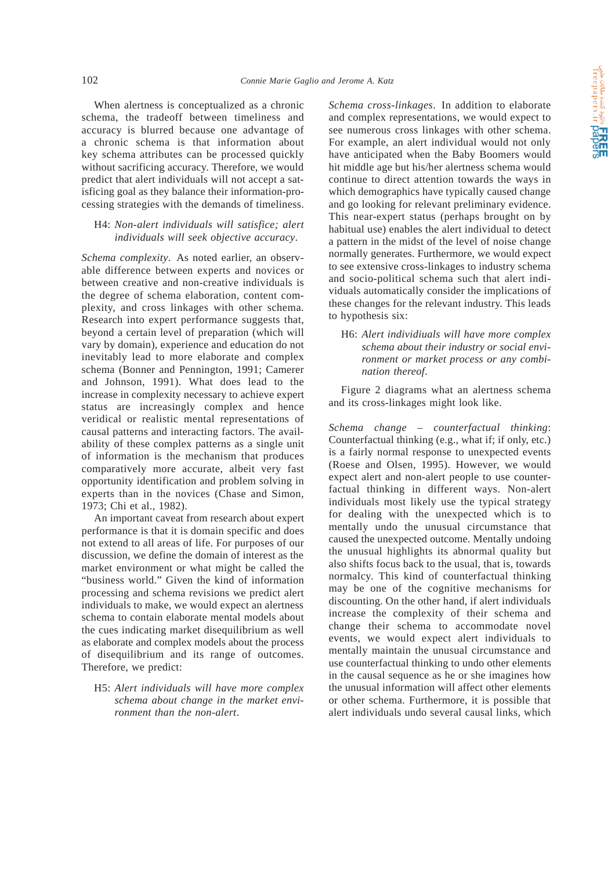When alertness is conceptualized as a chronic schema, the tradeoff between timeliness and accuracy is blurred because one advantage of a chronic schema is that information about key schema attributes can be processed quickly without sacrificing accuracy. Therefore, we would predict that alert individuals will not accept a satisficing goal as they balance their information-processing strategies with the demands of timeliness.

## H4: *Non-alert individuals will satisfice; alert individuals will seek objective accuracy*.

*Schema complexity*. As noted earlier, an observable difference between experts and novices or between creative and non-creative individuals is the degree of schema elaboration, content complexity, and cross linkages with other schema. Research into expert performance suggests that, beyond a certain level of preparation (which will vary by domain), experience and education do not inevitably lead to more elaborate and complex schema (Bonner and Pennington, 1991; Camerer and Johnson, 1991). What does lead to the increase in complexity necessary to achieve expert status are increasingly complex and hence veridical or realistic mental representations of causal patterns and interacting factors. The availability of these complex patterns as a single unit of information is the mechanism that produces comparatively more accurate, albeit very fast opportunity identification and problem solving in experts than in the novices (Chase and Simon, 1973; Chi et al., 1982).

An important caveat from research about expert performance is that it is domain specific and does not extend to all areas of life. For purposes of our discussion, we define the domain of interest as the market environment or what might be called the "business world." Given the kind of information processing and schema revisions we predict alert individuals to make, we would expect an alertness schema to contain elaborate mental models about the cues indicating market disequilibrium as well as elaborate and complex models about the process of disequilibrium and its range of outcomes. Therefore, we predict:

H5: *Alert individuals will have more complex schema about change in the market environment than the non-alert*.

*Schema cross-linkages*. In addition to elaborate and complex representations, we would expect to see numerous cross linkages with other schema. For example, an alert individual would not only have anticipated when the Baby Boomers would hit middle age but his/her alertness schema would continue to direct attention towards the ways in which demographics have typically caused change and go looking for relevant preliminary evidence. This near-expert status (perhaps brought on by habitual use) enables the alert individual to detect a pattern in the midst of the level of noise change normally generates. Furthermore, we would expect to see extensive cross-linkages to industry schema and socio-political schema such that alert individuals automatically consider the implications of these changes for the relevant industry. This leads to hypothesis six:

H6: *Alert individiuals will have more complex schema about their industry or social environment or market process or any combination thereof*.

Figure 2 diagrams what an alertness schema and its cross-linkages might look like.

*Schema change – counterfactual thinking*: Counterfactual thinking (e.g., what if; if only, etc.) is a fairly normal response to unexpected events (Roese and Olsen, 1995). However, we would expect alert and non-alert people to use counterfactual thinking in different ways. Non-alert individuals most likely use the typical strategy for dealing with the unexpected which is to mentally undo the unusual circumstance that caused the unexpected outcome. Mentally undoing the unusual highlights its abnormal quality but also shifts focus back to the usual, that is, towards normalcy. This kind of counterfactual thinking may be one of the cognitive mechanisms for discounting. On the other hand, if alert individuals increase the complexity of their schema and change their schema to accommodate novel events, we would expect alert individuals to mentally maintain the unusual circumstance and use counterfactual thinking to undo other elements in the causal sequence as he or she imagines how the unusual information will affect other elements or other schema. Furthermore, it is possible that alert individuals undo several causal links, which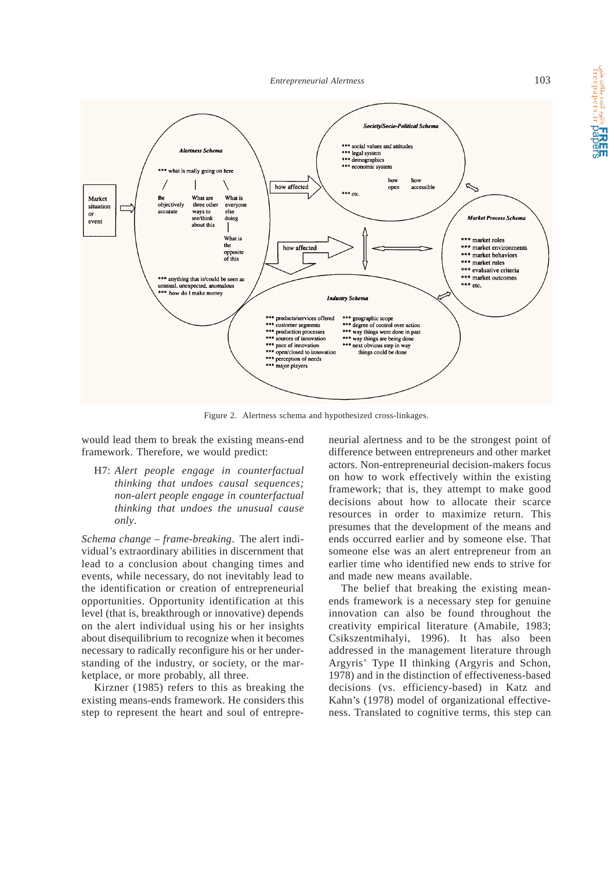*Entrepreneurial Alertness* 103



Figure 2. Alertness schema and hypothesized cross-linkages.

would lead them to break the existing means-end framework. Therefore, we would predict:

H7: *Alert people engage in counterfactual thinking that undoes causal sequences; non-alert people engage in counterfactual thinking that undoes the unusual cause only*.

*Schema change – frame-breaking*. The alert individual's extraordinary abilities in discernment that lead to a conclusion about changing times and events, while necessary, do not inevitably lead to the identification or creation of entrepreneurial opportunities. Opportunity identification at this level (that is, breakthrough or innovative) depends on the alert individual using his or her insights about disequilibrium to recognize when it becomes necessary to radically reconfigure his or her understanding of the industry, or society, or the marketplace, or more probably, all three.

Kirzner (1985) refers to this as breaking the existing means-ends framework. He considers this step to represent the heart and soul of entrepreneurial alertness and to be the strongest point of difference between entrepreneurs and other market actors. Non-entrepreneurial decision-makers focus on how to work effectively within the existing framework; that is, they attempt to make good decisions about how to allocate their scarce resources in order to maximize return. This presumes that the development of the means and ends occurred earlier and by someone else. That someone else was an alert entrepreneur from an earlier time who identified new ends to strive for and made new means available.

The belief that breaking the existing meanends framework is a necessary step for genuine innovation can also be found throughout the creativity empirical literature (Amabile, 1983; Csikszentmihalyi, 1996). It has also been addressed in the management literature through Argyris' Type II thinking (Argyris and Schon, 1978) and in the distinction of effectiveness-based decisions (vs. efficiency-based) in Katz and Kahn's (1978) model of organizational effectiveness. Translated to cognitive terms, this step can

slike تننده مقالات علم<br>Treepapers..ir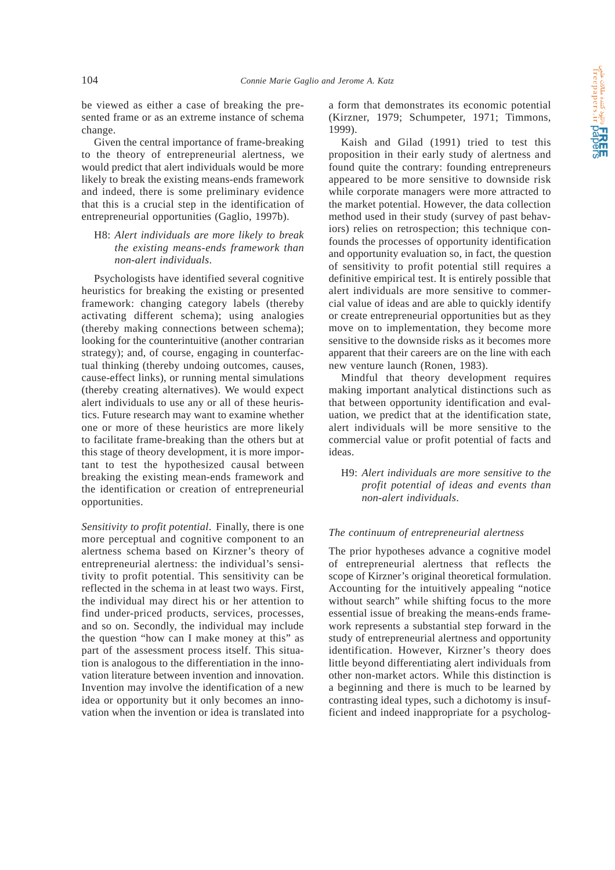be viewed as either a case of breaking the presented frame or as an extreme instance of schema change.

Given the central importance of frame-breaking to the theory of entrepreneurial alertness, we would predict that alert individuals would be more likely to break the existing means-ends framework and indeed, there is some preliminary evidence that this is a crucial step in the identification of entrepreneurial opportunities (Gaglio, 1997b).

# H8: *Alert individuals are more likely to break the existing means-ends framework than non-alert individuals*.

Psychologists have identified several cognitive heuristics for breaking the existing or presented framework: changing category labels (thereby activating different schema); using analogies (thereby making connections between schema); looking for the counterintuitive (another contrarian strategy); and, of course, engaging in counterfactual thinking (thereby undoing outcomes, causes, cause-effect links), or running mental simulations (thereby creating alternatives). We would expect alert individuals to use any or all of these heuristics. Future research may want to examine whether one or more of these heuristics are more likely to facilitate frame-breaking than the others but at this stage of theory development, it is more important to test the hypothesized causal between breaking the existing mean-ends framework and the identification or creation of entrepreneurial opportunities.

*Sensitivity to profit potential*. Finally, there is one more perceptual and cognitive component to an alertness schema based on Kirzner's theory of entrepreneurial alertness: the individual's sensitivity to profit potential. This sensitivity can be reflected in the schema in at least two ways. First, the individual may direct his or her attention to find under-priced products, services, processes, and so on. Secondly, the individual may include the question "how can I make money at this" as part of the assessment process itself. This situation is analogous to the differentiation in the innovation literature between invention and innovation. Invention may involve the identification of a new idea or opportunity but it only becomes an innovation when the invention or idea is translated into a form that demonstrates its economic potential (Kirzner, 1979; Schumpeter, 1971; Timmons, 1999).

Kaish and Gilad (1991) tried to test this proposition in their early study of alertness and found quite the contrary: founding entrepreneurs appeared to be more sensitive to downside risk while corporate managers were more attracted to the market potential. However, the data collection method used in their study (survey of past behaviors) relies on retrospection; this technique confounds the processes of opportunity identification and opportunity evaluation so, in fact, the question of sensitivity to profit potential still requires a definitive empirical test. It is entirely possible that alert individuals are more sensitive to commercial value of ideas and are able to quickly identify or create entrepreneurial opportunities but as they move on to implementation, they become more sensitive to the downside risks as it becomes more apparent that their careers are on the line with each new venture launch (Ronen, 1983).

Mindful that theory development requires making important analytical distinctions such as that between opportunity identification and evaluation, we predict that at the identification state, alert individuals will be more sensitive to the commercial value or profit potential of facts and ideas.

H9: *Alert individuals are more sensitive to the profit potential of ideas and events than non-alert individuals*.

### *The continuum of entrepreneurial alertness*

The prior hypotheses advance a cognitive model of entrepreneurial alertness that reflects the scope of Kirzner's original theoretical formulation. Accounting for the intuitively appealing "notice without search" while shifting focus to the more essential issue of breaking the means-ends framework represents a substantial step forward in the study of entrepreneurial alertness and opportunity identification. However, Kirzner's theory does little beyond differentiating alert individuals from other non-market actors. While this distinction is a beginning and there is much to be learned by contrasting ideal types, such a dichotomy is insufficient and indeed inappropriate for a psycholog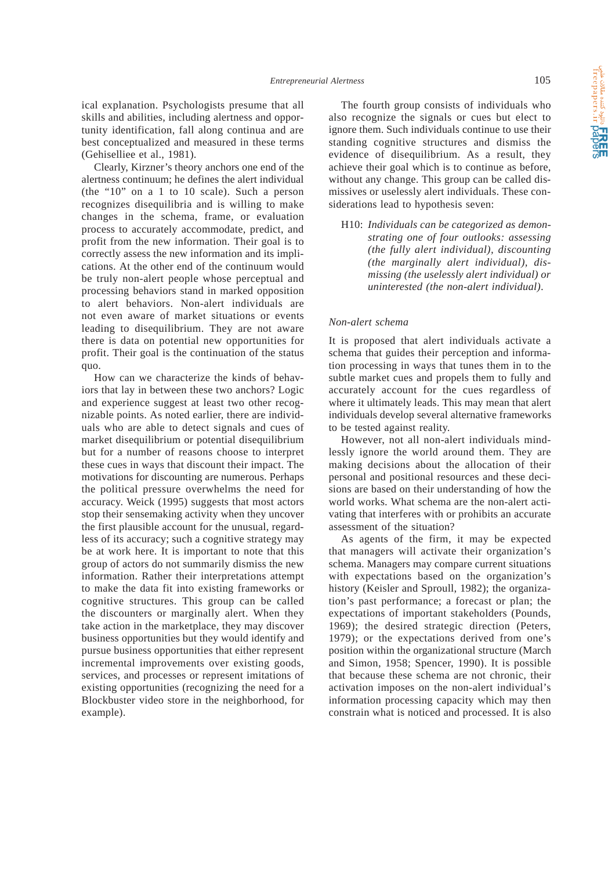ical explanation. Psychologists presume that all skills and abilities, including alertness and opportunity identification, fall along continua and are best conceptualized and measured in these terms (Gehiselliee et al., 1981).

Clearly, Kirzner's theory anchors one end of the alertness continuum; he defines the alert individual (the "10" on a 1 to 10 scale). Such a person recognizes disequilibria and is willing to make changes in the schema, frame, or evaluation process to accurately accommodate, predict, and profit from the new information. Their goal is to correctly assess the new information and its implications. At the other end of the continuum would be truly non-alert people whose perceptual and processing behaviors stand in marked opposition to alert behaviors. Non-alert individuals are not even aware of market situations or events leading to disequilibrium. They are not aware there is data on potential new opportunities for profit. Their goal is the continuation of the status quo.

How can we characterize the kinds of behaviors that lay in between these two anchors? Logic and experience suggest at least two other recognizable points. As noted earlier, there are individuals who are able to detect signals and cues of market disequilibrium or potential disequilibrium but for a number of reasons choose to interpret these cues in ways that discount their impact. The motivations for discounting are numerous. Perhaps the political pressure overwhelms the need for accuracy. Weick (1995) suggests that most actors stop their sensemaking activity when they uncover the first plausible account for the unusual, regardless of its accuracy; such a cognitive strategy may be at work here. It is important to note that this group of actors do not summarily dismiss the new information. Rather their interpretations attempt to make the data fit into existing frameworks or cognitive structures. This group can be called the discounters or marginally alert. When they take action in the marketplace, they may discover business opportunities but they would identify and pursue business opportunities that either represent incremental improvements over existing goods, services, and processes or represent imitations of existing opportunities (recognizing the need for a Blockbuster video store in the neighborhood, for example).

The fourth group consists of individuals who also recognize the signals or cues but elect to ignore them. Such individuals continue to use their standing cognitive structures and dismiss the evidence of disequilibrium. As a result, they achieve their goal which is to continue as before, without any change. This group can be called dismissives or uselessly alert individuals. These considerations lead to hypothesis seven:

H10: *Individuals can be categorized as demonstrating one of four outlooks: assessing (the fully alert individual), discounting (the marginally alert individual), dismissing (the uselessly alert individual) or uninterested (the non-alert individual)*.

### *Non-alert schema*

It is proposed that alert individuals activate a schema that guides their perception and information processing in ways that tunes them in to the subtle market cues and propels them to fully and accurately account for the cues regardless of where it ultimately leads. This may mean that alert individuals develop several alternative frameworks to be tested against reality.

However, not all non-alert individuals mindlessly ignore the world around them. They are making decisions about the allocation of their personal and positional resources and these decisions are based on their understanding of how the world works. What schema are the non-alert activating that interferes with or prohibits an accurate assessment of the situation?

As agents of the firm, it may be expected that managers will activate their organization's schema. Managers may compare current situations with expectations based on the organization's history (Keisler and Sproull, 1982); the organization's past performance; a forecast or plan; the expectations of important stakeholders (Pounds, 1969); the desired strategic direction (Peters, 1979); or the expectations derived from one's position within the organizational structure (March and Simon, 1958; Spencer, 1990). It is possible that because these schema are not chronic, their activation imposes on the non-alert individual's information processing capacity which may then constrain what is noticed and processed. It is also نانود کننده مقالات علمی<br>Treepapers.ir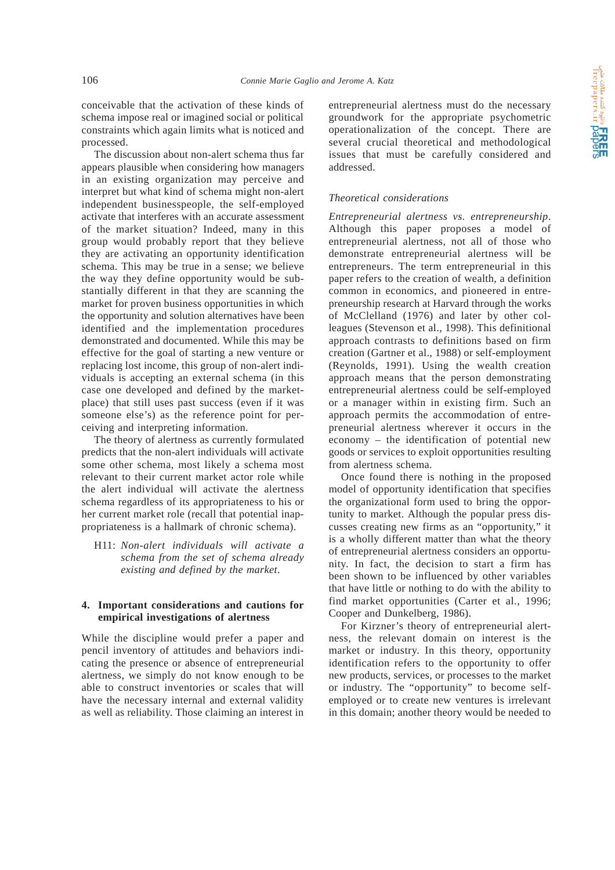conceivable that the activation of these kinds of schema impose real or imagined social or political constraints which again limits what is noticed and processed.

The discussion about non-alert schema thus far appears plausible when considering how managers in an existing organization may perceive and interpret but what kind of schema might non-alert independent businesspeople, the self-employed activate that interferes with an accurate assessment of the market situation? Indeed, many in this group would probably report that they believe they are activating an opportunity identification schema. This may be true in a sense; we believe the way they define opportunity would be substantially different in that they are scanning the market for proven business opportunities in which the opportunity and solution alternatives have been identified and the implementation procedures demonstrated and documented. While this may be effective for the goal of starting a new venture or replacing lost income, this group of non-alert individuals is accepting an external schema (in this case one developed and defined by the marketplace) that still uses past success (even if it was someone else's) as the reference point for perceiving and interpreting information.

The theory of alertness as currently formulated predicts that the non-alert individuals will activate some other schema, most likely a schema most relevant to their current market actor role while the alert individual will activate the alertness schema regardless of its appropriateness to his or her current market role (recall that potential inappropriateness is a hallmark of chronic schema).

H11: *Non-alert individuals will activate a schema from the set of schema already existing and defined by the market*.

# **4. Important considerations and cautions for empirical investigations of alertness**

While the discipline would prefer a paper and pencil inventory of attitudes and behaviors indicating the presence or absence of entrepreneurial alertness, we simply do not know enough to be able to construct inventories or scales that will have the necessary internal and external validity as well as reliability. Those claiming an interest in

entrepreneurial alertness must do the necessary groundwork for the appropriate psychometric operationalization of the concept. There are several crucial theoretical and methodological issues that must be carefully considered and addressed.

## *Theoretical considerations*

*Entrepreneurial alertness vs. entrepreneurship*. Although this paper proposes a model of entrepreneurial alertness, not all of those who demonstrate entrepreneurial alertness will be entrepreneurs. The term entrepreneurial in this paper refers to the creation of wealth, a definition common in economics, and pioneered in entrepreneurship research at Harvard through the works of McClelland (1976) and later by other colleagues (Stevenson et al., 1998). This definitional approach contrasts to definitions based on firm creation (Gartner et al., 1988) or self-employment (Reynolds, 1991). Using the wealth creation approach means that the person demonstrating entrepreneurial alertness could be self-employed or a manager within in existing firm. Such an approach permits the accommodation of entrepreneurial alertness wherever it occurs in the economy – the identification of potential new goods or services to exploit opportunities resulting from alertness schema.

Once found there is nothing in the proposed model of opportunity identification that specifies the organizational form used to bring the opportunity to market. Although the popular press discusses creating new firms as an "opportunity," it is a wholly different matter than what the theory of entrepreneurial alertness considers an opportunity. In fact, the decision to start a firm has been shown to be influenced by other variables that have little or nothing to do with the ability to find market opportunities (Carter et al., 1996; Cooper and Dunkelberg, 1986).

For Kirzner's theory of entrepreneurial alertness, the relevant domain on interest is the market or industry. In this theory, opportunity identification refers to the opportunity to offer new products, services, or processes to the market or industry. The "opportunity" to become selfemployed or to create new ventures is irrelevant in this domain; another theory would be needed to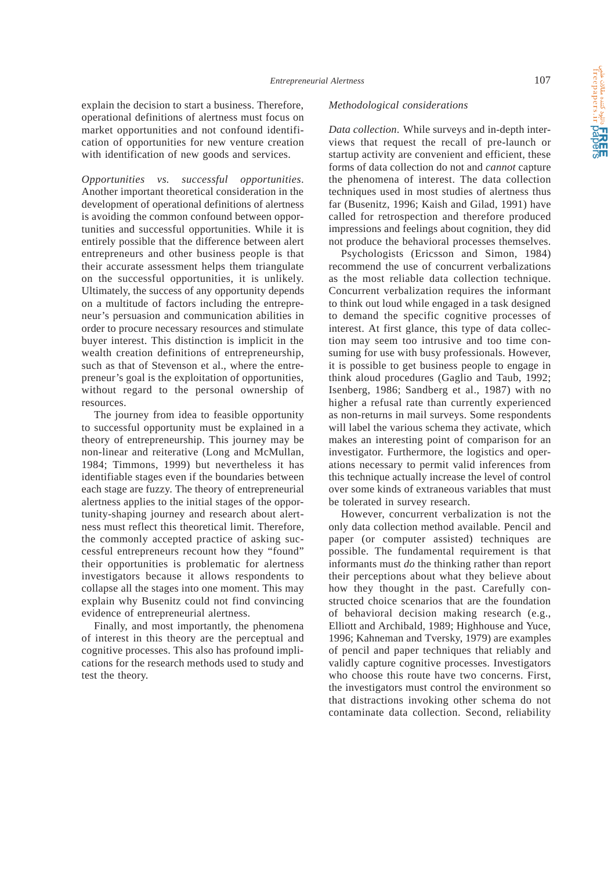explain the decision to start a business. Therefore, operational definitions of alertness must focus on market opportunities and not confound identification of opportunities for new venture creation with identification of new goods and services.

*Opportunities vs. successful opportunities*. Another important theoretical consideration in the development of operational definitions of alertness is avoiding the common confound between opportunities and successful opportunities. While it is entirely possible that the difference between alert entrepreneurs and other business people is that their accurate assessment helps them triangulate on the successful opportunities, it is unlikely. Ultimately, the success of any opportunity depends on a multitude of factors including the entrepreneur's persuasion and communication abilities in order to procure necessary resources and stimulate buyer interest. This distinction is implicit in the wealth creation definitions of entrepreneurship, such as that of Stevenson et al., where the entrepreneur's goal is the exploitation of opportunities, without regard to the personal ownership of resources.

The journey from idea to feasible opportunity to successful opportunity must be explained in a theory of entrepreneurship. This journey may be non-linear and reiterative (Long and McMullan, 1984; Timmons, 1999) but nevertheless it has identifiable stages even if the boundaries between each stage are fuzzy. The theory of entrepreneurial alertness applies to the initial stages of the opportunity-shaping journey and research about alertness must reflect this theoretical limit. Therefore, the commonly accepted practice of asking successful entrepreneurs recount how they "found" their opportunities is problematic for alertness investigators because it allows respondents to collapse all the stages into one moment. This may explain why Busenitz could not find convincing evidence of entrepreneurial alertness.

Finally, and most importantly, the phenomena of interest in this theory are the perceptual and cognitive processes. This also has profound implications for the research methods used to study and test the theory.

#### *Methodological considerations*

*Data collection*. While surveys and in-depth interviews that request the recall of pre-launch or startup activity are convenient and efficient, these forms of data collection do not and *cannot* capture the phenomena of interest. The data collection techniques used in most studies of alertness thus far (Busenitz, 1996; Kaish and Gilad, 1991) have called for retrospection and therefore produced impressions and feelings about cognition, they did not produce the behavioral processes themselves.

Psychologists (Ericsson and Simon, 1984) recommend the use of concurrent verbalizations as the most reliable data collection technique. Concurrent verbalization requires the informant to think out loud while engaged in a task designed to demand the specific cognitive processes of interest. At first glance, this type of data collection may seem too intrusive and too time consuming for use with busy professionals. However, it is possible to get business people to engage in think aloud procedures (Gaglio and Taub, 1992; Isenberg, 1986; Sandberg et al., 1987) with no higher a refusal rate than currently experienced as non-returns in mail surveys. Some respondents will label the various schema they activate, which makes an interesting point of comparison for an investigator. Furthermore, the logistics and operations necessary to permit valid inferences from this technique actually increase the level of control over some kinds of extraneous variables that must be tolerated in survey research.

However, concurrent verbalization is not the only data collection method available. Pencil and paper (or computer assisted) techniques are possible. The fundamental requirement is that informants must *do* the thinking rather than report their perceptions about what they believe about how they thought in the past. Carefully constructed choice scenarios that are the foundation of behavioral decision making research (e.g., Elliott and Archibald, 1989; Highhouse and Yuce, 1996; Kahneman and Tversky, 1979) are examples of pencil and paper techniques that reliably and validly capture cognitive processes. Investigators who choose this route have two concerns. First, the investigators must control the environment so that distractions invoking other schema do not contaminate data collection. Second, reliability نانود کننده مقالات علمی<br>Treepapers.ir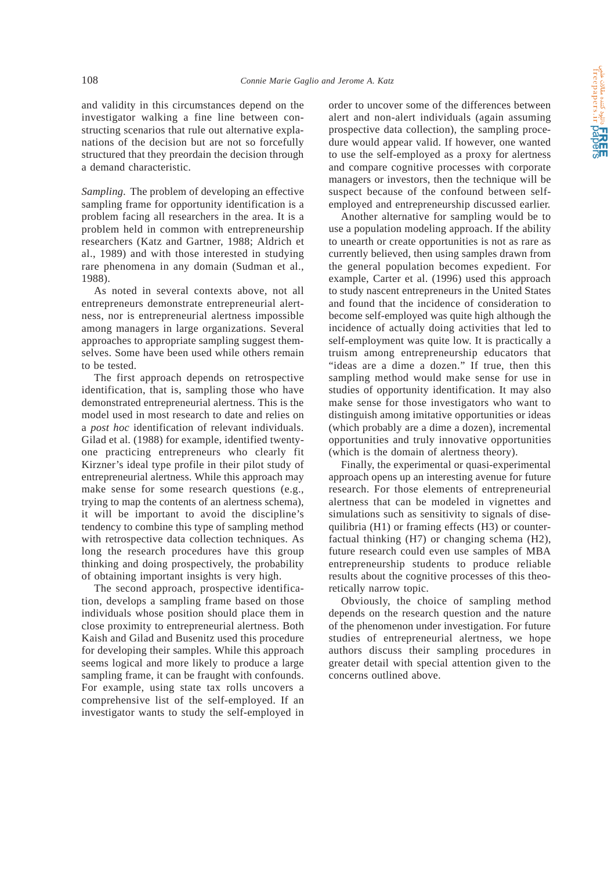and validity in this circumstances depend on the investigator walking a fine line between constructing scenarios that rule out alternative explanations of the decision but are not so forcefully structured that they preordain the decision through a demand characteristic.

*Sampling*. The problem of developing an effective sampling frame for opportunity identification is a problem facing all researchers in the area. It is a problem held in common with entrepreneurship researchers (Katz and Gartner, 1988; Aldrich et al., 1989) and with those interested in studying rare phenomena in any domain (Sudman et al., 1988).

As noted in several contexts above, not all entrepreneurs demonstrate entrepreneurial alertness, nor is entrepreneurial alertness impossible among managers in large organizations. Several approaches to appropriate sampling suggest themselves. Some have been used while others remain to be tested.

The first approach depends on retrospective identification, that is, sampling those who have demonstrated entrepreneurial alertness. This is the model used in most research to date and relies on a *post hoc* identification of relevant individuals. Gilad et al. (1988) for example, identified twentyone practicing entrepreneurs who clearly fit Kirzner's ideal type profile in their pilot study of entrepreneurial alertness. While this approach may make sense for some research questions (e.g., trying to map the contents of an alertness schema), it will be important to avoid the discipline's tendency to combine this type of sampling method with retrospective data collection techniques. As long the research procedures have this group thinking and doing prospectively, the probability of obtaining important insights is very high.

The second approach, prospective identification, develops a sampling frame based on those individuals whose position should place them in close proximity to entrepreneurial alertness. Both Kaish and Gilad and Busenitz used this procedure for developing their samples. While this approach seems logical and more likely to produce a large sampling frame, it can be fraught with confounds. For example, using state tax rolls uncovers a comprehensive list of the self-employed. If an investigator wants to study the self-employed in

order to uncover some of the differences between alert and non-alert individuals (again assuming prospective data collection), the sampling procedure would appear valid. If however, one wanted to use the self-employed as a proxy for alertness and compare cognitive processes with corporate managers or investors, then the technique will be suspect because of the confound between selfemployed and entrepreneurship discussed earlier.

Another alternative for sampling would be to use a population modeling approach. If the ability to unearth or create opportunities is not as rare as currently believed, then using samples drawn from the general population becomes expedient. For example, Carter et al. (1996) used this approach to study nascent entrepreneurs in the United States and found that the incidence of consideration to become self-employed was quite high although the incidence of actually doing activities that led to self-employment was quite low. It is practically a truism among entrepreneurship educators that "ideas are a dime a dozen." If true, then this sampling method would make sense for use in studies of opportunity identification. It may also make sense for those investigators who want to distinguish among imitative opportunities or ideas (which probably are a dime a dozen), incremental opportunities and truly innovative opportunities (which is the domain of alertness theory).

Finally, the experimental or quasi-experimental approach opens up an interesting avenue for future research. For those elements of entrepreneurial alertness that can be modeled in vignettes and simulations such as sensitivity to signals of disequilibria (H1) or framing effects (H3) or counterfactual thinking (H7) or changing schema (H2), future research could even use samples of MBA entrepreneurship students to produce reliable results about the cognitive processes of this theoretically narrow topic.

Obviously, the choice of sampling method depends on the research question and the nature of the phenomenon under investigation. For future studies of entrepreneurial alertness, we hope authors discuss their sampling procedures in greater detail with special attention given to the concerns outlined above.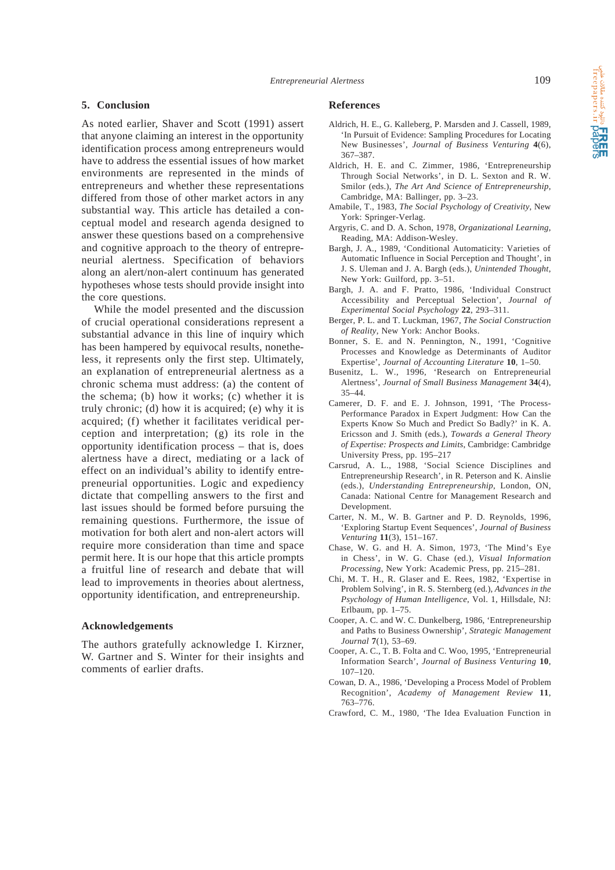# **5. Conclusion**

As noted earlier, Shaver and Scott (1991) assert that anyone claiming an interest in the opportunity identification process among entrepreneurs would have to address the essential issues of how market environments are represented in the minds of entrepreneurs and whether these representations differed from those of other market actors in any substantial way. This article has detailed a conceptual model and research agenda designed to answer these questions based on a comprehensive and cognitive approach to the theory of entrepreneurial alertness. Specification of behaviors along an alert/non-alert continuum has generated hypotheses whose tests should provide insight into the core questions.

While the model presented and the discussion of crucial operational considerations represent a substantial advance in this line of inquiry which has been hampered by equivocal results, nonetheless, it represents only the first step. Ultimately, an explanation of entrepreneurial alertness as a chronic schema must address: (a) the content of the schema; (b) how it works; (c) whether it is truly chronic; (d) how it is acquired; (e) why it is acquired; (f) whether it facilitates veridical perception and interpretation; (g) its role in the opportunity identification process – that is, does alertness have a direct, mediating or a lack of effect on an individual's ability to identify entrepreneurial opportunities. Logic and expediency dictate that compelling answers to the first and last issues should be formed before pursuing the remaining questions. Furthermore, the issue of motivation for both alert and non-alert actors will require more consideration than time and space permit here. It is our hope that this article prompts a fruitful line of research and debate that will lead to improvements in theories about alertness, opportunity identification, and entrepreneurship.

#### **Acknowledgements**

The authors gratefully acknowledge I. Kirzner, W. Gartner and S. Winter for their insights and comments of earlier drafts.

#### **References**

- Aldrich, H. E., G. Kalleberg, P. Marsden and J. Cassell, 1989, 'In Pursuit of Evidence: Sampling Procedures for Locating New Businesses', *Journal of Business Venturing* **4**(6), 367–387.
- Aldrich, H. E. and C. Zimmer, 1986, 'Entrepreneurship Through Social Networks', in D. L. Sexton and R. W. Smilor (eds.), *The Art And Science of Entrepreneurship*, Cambridge, MA: Ballinger, pp. 3–23.
- Amabile, T., 1983, *The Social Psychology of Creativity*, New York: Springer-Verlag.
- Argyris, C. and D. A. Schon, 1978, *Organizational Learning*, Reading, MA: Addison-Wesley.
- Bargh, J. A., 1989, 'Conditional Automaticity: Varieties of Automatic Influence in Social Perception and Thought', in J. S. Uleman and J. A. Bargh (eds.), *Unintended Thought*, New York: Guilford, pp. 3–51.
- Bargh, J. A. and F. Pratto, 1986, 'Individual Construct Accessibility and Perceptual Selection', *Journal of Experimental Social Psychology* **22**, 293–311.
- Berger, P. L. and T. Luckman, 1967, *The Social Construction of Reality*, New York: Anchor Books.
- Bonner, S. E. and N. Pennington, N., 1991, 'Cognitive Processes and Knowledge as Determinants of Auditor Expertise', *Journal of Accounting Literature* **10**, 1–50.
- Busenitz, L. W., 1996, 'Research on Entrepreneurial Alertness', *Journal of Small Business Management* **34**(4), 35–44.
- Camerer, D. F. and E. J. Johnson, 1991, 'The Process-Performance Paradox in Expert Judgment: How Can the Experts Know So Much and Predict So Badly?' in K. A. Ericsson and J. Smith (eds.), *Towards a General Theory of Expertise: Prospects and Limits*, Cambridge: Cambridge University Press, pp. 195–217
- Carsrud, A. L., 1988, 'Social Science Disciplines and Entrepreneurship Research', in R. Peterson and K. Ainslie (eds.), *Understanding Entrepreneurship*, London, ON, Canada: National Centre for Management Research and Development.
- Carter, N. M., W. B. Gartner and P. D. Reynolds, 1996, 'Exploring Startup Event Sequences', *Journal of Business Venturing* **11**(3), 151–167.
- Chase, W. G. and H. A. Simon, 1973, 'The Mind's Eye in Chess', in W. G. Chase (ed.), *Visual Information Processing*, New York: Academic Press, pp. 215–281.
- Chi, M. T. H., R. Glaser and E. Rees, 1982, 'Expertise in Problem Solving', in R. S. Sternberg (ed.), *Advances in the Psychology of Human Intelligence*, Vol. 1, Hillsdale, NJ: Erlbaum, pp. 1–75.
- Cooper, A. C. and W. C. Dunkelberg, 1986, 'Entrepreneurship and Paths to Business Ownership', *Strategic Management Journal* **7**(1), 53–69.
- Cooper, A. C., T. B. Folta and C. Woo, 1995, 'Entrepreneurial Information Search', *Journal of Business Venturing* **10**, 107–120.
- Cowan, D. A., 1986, 'Developing a Process Model of Problem Recognition', *Academy of Management Review* **11**, 763–776.
- Crawford, C. M., 1980, 'The Idea Evaluation Function in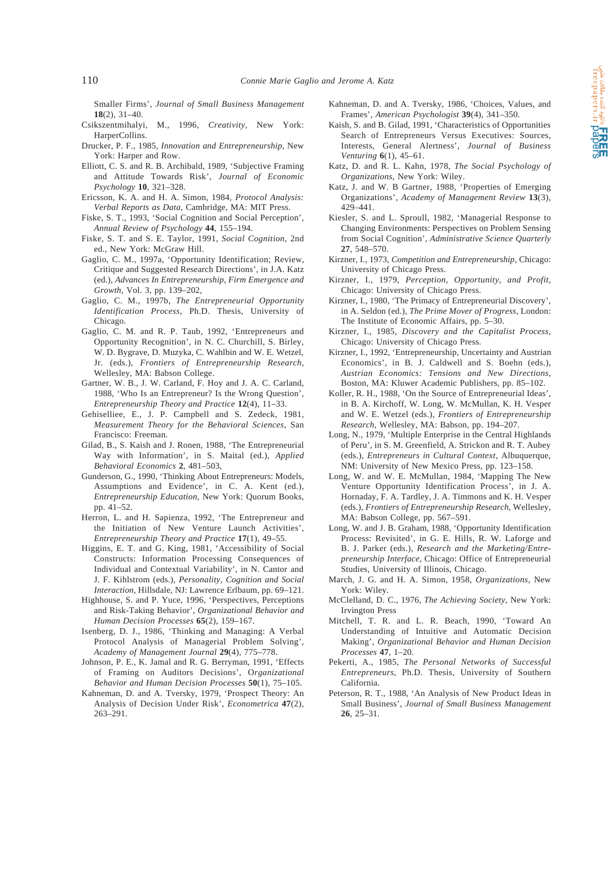Smaller Firms', *Journal of Small Business Management* **18**(2), 31–40.

- Csikszentmihalyi, M., 1996, *Creativity*, New York: HarperCollins.
- Drucker, P. F., 1985, *Innovation and Entrepreneurship*, New York: Harper and Row.
- Elliott, C. S. and R. B. Archibald, 1989, 'Subjective Framing and Attitude Towards Risk', *Journal of Economic Psychology* **10**, 321–328.
- Ericsson, K. A. and H. A. Simon, 1984, *Protocol Analysis: Verbal Reports as Data*, Cambridge, MA: MIT Press.
- Fiske, S. T., 1993, 'Social Cognition and Social Perception', *Annual Review of Psychology* **44**, 155–194.
- Fiske, S. T. and S. E. Taylor, 1991, *Social Cognition*, 2nd ed., New York: McGraw Hill.
- Gaglio, C. M., 1997a, 'Opportunity Identification; Review, Critique and Suggested Research Directions', in J.A. Katz (ed.), *Advances In Entrepreneurship, Firm Emergence and Growth*, Vol. 3, pp. 139–202,
- Gaglio, C. M., 1997b, *The Entrepreneurial Opportunity Identification Process*, Ph.D. Thesis, University of Chicago.
- Gaglio, C. M. and R. P. Taub, 1992, 'Entrepreneurs and Opportunity Recognition', in N. C. Churchill, S. Birley, W. D. Bygrave, D. Muzyka, C. Wahlbin and W. E. Wetzel, Jr. (eds.), *Frontiers of Entrepreneurship Research*, Wellesley, MA: Babson College.
- Gartner, W. B., J. W. Carland, F. Hoy and J. A. C. Carland, 1988, 'Who Is an Entrepreneur? Is the Wrong Question', *Entrepreneurship Theory and Practice* **12**(4), 11–33.
- Gehiselliee, E., J. P. Campbell and S. Zedeck, 1981, *Measurement Theory for the Behavioral Sciences*, San Francisco: Freeman.
- Gilad, B., S. Kaish and J. Ronen, 1988, 'The Entrepreneurial Way with Information', in S. Maital (ed.), *Applied Behavioral Economics* **2**, 481–503,
- Gunderson, G., 1990, 'Thinking About Entrepreneurs: Models, Assumptions and Evidence', in C. A. Kent (ed.), *Entrepreneurship Education*, New York: Quorum Books, pp. 41–52.
- Herron, L. and H. Sapienza, 1992, 'The Entrepreneur and the Initiation of New Venture Launch Activities', *Entrepreneurship Theory and Practice* **17**(1), 49–55.
- Higgins, E. T. and G. King, 1981, 'Accessibility of Social Constructs: Information Processing Consequences of Individual and Contextual Variability', in N. Cantor and J. F. Kihlstrom (eds.), *Personality, Cognition and Social Interaction*, Hillsdale, NJ: Lawrence Erlbaum, pp. 69–121.
- Highhouse, S. and P. Yuce, 1996, 'Perspectives, Perceptions and Risk-Taking Behavior', *Organizational Behavior and Human Decision Processes* **65**(2), 159–167.
- Isenberg, D. J., 1986, 'Thinking and Managing: A Verbal Protocol Analysis of Managerial Problem Solving', *Academy of Management Journal* **29**(4), 775–778.
- Johnson, P. E., K. Jamal and R. G. Berryman, 1991, 'Effects of Framing on Auditors Decisions', O*rganizational Behavior and Human Decision Processes* **50**(1), 75–105.
- Kahneman, D. and A. Tversky, 1979, 'Prospect Theory: An Analysis of Decision Under Risk', *Econometrica* **47**(2), 263–291.
- Kahneman, D. and A. Tversky, 1986, 'Choices, Values, and Frames', *American Psychologist* **39**(4), 341–350.
- Kaish, S. and B. Gilad, 1991, 'Characteristics of Opportunities Search of Entrepreneurs Versus Executives: Sources, Interests, General Alertness', *Journal of Business Venturing* **6**(1), 45–61.
- Katz, D. and R. L. Kahn, 1978, *The Social Psychology of Organizations*, New York: Wiley.
- Katz, J. and W. B Gartner, 1988, 'Properties of Emerging Organizations', *Academy of Management Review* **13**(3), 429–441.
- Kiesler, S. and L. Sproull, 1982, 'Managerial Response to Changing Environments: Perspectives on Problem Sensing from Social Cognition', *Administrative Science Quarterly* **27**, 548–570.
- Kirzner, I., 1973, *Competition and Entrepreneurship*, Chicago: University of Chicago Press.
- Kirzner, I., 1979, *Perception, Opportunity, and Profit*, Chicago: University of Chicago Press.
- Kirzner, I., 1980, 'The Primacy of Entrepreneurial Discovery', in A. Seldon (ed.), *The Prime Mover of Progress*, London: The Institute of Economic Affairs, pp. 5–30.
- Kirzner, I., 1985, *Discovery and the Capitalist Process*, Chicago: University of Chicago Press.
- Kirzner, I., 1992, 'Entrepreneurship, Uncertainty and Austrian Economics', in B. J. Caldwell and S. Boehn (eds.), *Austrian Economics: Tensions and New Directions*, Boston, MA: Kluwer Academic Publishers, pp. 85–102.
- Koller, R. H., 1988, 'On the Source of Entrepreneurial Ideas', in B. A. Kirchoff, W. Long, W. McMullan, K. H. Vesper and W. E. Wetzel (eds.), *Frontiers of Entrepreneurship Research*, Wellesley, MA: Babson, pp. 194–207.
- Long, N., 1979, 'Multiple Enterprise in the Central Highlands of Peru', in S. M. Greenfield, A. Strickon and R. T. Aubey (eds.), *Entrepreneurs in Cultural Context*, Albuquerque, NM: University of New Mexico Press, pp. 123–158.
- Long, W. and W. E. McMullan, 1984, 'Mapping The New Venture Opportunity Identification Process', in J. A. Hornaday, F. A. Tardley, J. A. Timmons and K. H. Vesper (eds.), *Frontiers of Entrepreneurship Research*, Wellesley, MA: Babson College, pp. 567–591.
- Long, W. and J. B. Graham, 1988, 'Opportunity Identification Process: Revisited', in G. E. Hills, R. W. Laforge and B. J. Parker (eds.), *Research and the Marketing/Entrepreneurship Interface*, Chicago: Office of Entrepreneurial Studies, University of Illinois, Chicago.
- March, J. G. and H. A. Simon, 1958, *Organizations*, New York: Wiley.
- McClelland, D. C., 1976, *The Achieving Society*, New York: Irvington Press
- Mitchell, T. R. and L. R. Beach, 1990, 'Toward An Understanding of Intuitive and Automatic Decision Making', *Organizational Behavior and Human Decision Processes* **47**, 1–20.
- Pekerti, A., 1985, *The Personal Networks of Successful Entrepreneurs*, Ph.D. Thesis, University of Southern California.
- Peterson, R. T., 1988, 'An Analysis of New Product Ideas in Small Business', *Journal of Small Business Management* **26**, 25–31.